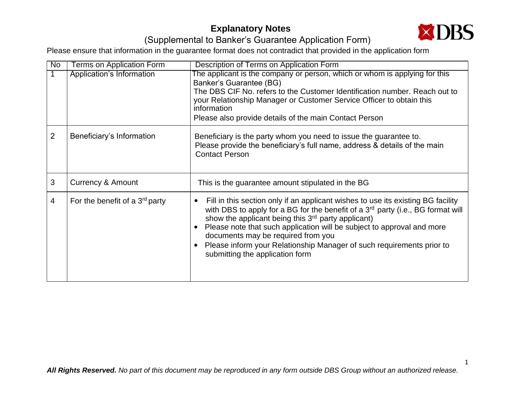

### (Supplemental to Banker's Guarantee Application Form)

Please ensure that information in the guarantee format does not contradict that provided in the application form

| <b>No</b>      | <b>Terms on Application Form</b> | Description of Terms on Application Form                                                                                                                                                     |
|----------------|----------------------------------|----------------------------------------------------------------------------------------------------------------------------------------------------------------------------------------------|
| $\mathbf{1}$   | <b>Application's Information</b> | The applicant is the company or person, which or whom is applying for this                                                                                                                   |
|                |                                  | Banker's Guarantee (BG)                                                                                                                                                                      |
|                |                                  | The DBS CIF No. refers to the Customer Identification number. Reach out to                                                                                                                   |
|                |                                  | your Relationship Manager or Customer Service Officer to obtain this<br>information                                                                                                          |
|                |                                  | Please also provide details of the main Contact Person                                                                                                                                       |
|                |                                  |                                                                                                                                                                                              |
| $\overline{2}$ | Beneficiary's Information        | Beneficiary is the party whom you need to issue the guarantee to.                                                                                                                            |
|                |                                  | Please provide the beneficiary's full name, address & details of the main                                                                                                                    |
|                |                                  | <b>Contact Person</b>                                                                                                                                                                        |
|                |                                  |                                                                                                                                                                                              |
| 3              | <b>Currency &amp; Amount</b>     | This is the guarantee amount stipulated in the BG                                                                                                                                            |
|                |                                  |                                                                                                                                                                                              |
| $\overline{4}$ | For the benefit of a $3rd$ party | Fill in this section only if an applicant wishes to use its existing BG facility<br>$\bullet$<br>with DBS to apply for a BG for the benefit of a 3 <sup>rd</sup> party (i.e., BG format will |
|                |                                  | show the applicant being this 3 <sup>rd</sup> party applicant)                                                                                                                               |
|                |                                  | Please note that such application will be subject to approval and more                                                                                                                       |
|                |                                  | documents may be required from you                                                                                                                                                           |
|                |                                  | Please inform your Relationship Manager of such requirements prior to<br>submitting the application form                                                                                     |
|                |                                  |                                                                                                                                                                                              |
|                |                                  |                                                                                                                                                                                              |
|                |                                  |                                                                                                                                                                                              |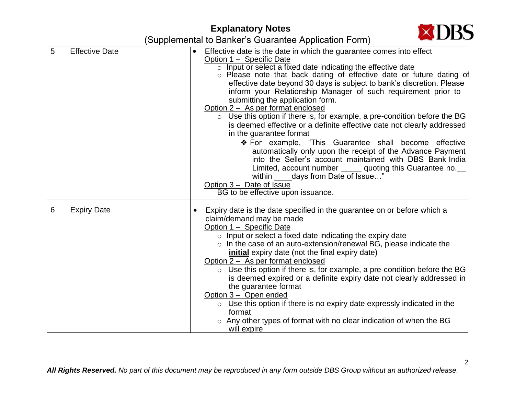

(Supplemental to Banker's Guarantee Application Form)

| 5 | <b>Effective Date</b> | Effective date is the date in which the guarantee comes into effect<br>Option 1 - Specific Date<br>o Input or select a fixed date indicating the effective date<br>o Please note that back dating of effective date or future dating of<br>effective date beyond 30 days is subject to bank's discretion. Please<br>inform your Relationship Manager of such requirement prior to<br>submitting the application form.<br>Option 2 - As per format enclosed<br>$\circ$ Use this option if there is, for example, a pre-condition before the BG<br>is deemed effective or a definite effective date not clearly addressed<br>in the guarantee format                                                                                                                  |
|---|-----------------------|---------------------------------------------------------------------------------------------------------------------------------------------------------------------------------------------------------------------------------------------------------------------------------------------------------------------------------------------------------------------------------------------------------------------------------------------------------------------------------------------------------------------------------------------------------------------------------------------------------------------------------------------------------------------------------------------------------------------------------------------------------------------|
|   |                       | ❖ For example, "This Guarantee shall become effective<br>automatically only upon the receipt of the Advance Payment<br>into the Seller's account maintained with DBS Bank India<br>Limited, account number _____ quoting this Guarantee no.__<br>within days from Date of Issue"<br>Option 3 - Date of Issue<br>BG to be effective upon issuance.                                                                                                                                                                                                                                                                                                                                                                                                                   |
| 6 | <b>Expiry Date</b>    | Expiry date is the date specified in the guarantee on or before which a<br>claim/demand may be made<br>Option 1 - Specific Date<br>o Input or select a fixed date indicating the expiry date<br>$\circ$ In the case of an auto-extension/renewal BG, please indicate the<br>initial expiry date (not the final expiry date)<br>Option 2 - As per format enclosed<br>$\circ$ Use this option if there is, for example, a pre-condition before the BG<br>is deemed expired or a definite expiry date not clearly addressed in<br>the guarantee format<br>Option 3 - Open ended<br>$\circ$ Use this option if there is no expiry date expressly indicated in the<br>format<br>$\circ$ Any other types of format with no clear indication of when the BG<br>will expire |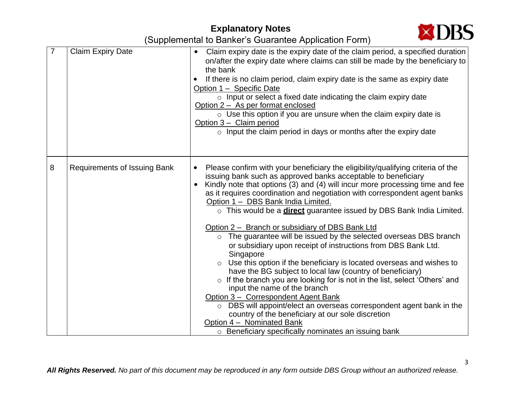

(Supplemental to Banker's Guarantee Application Form)

|   | <b>Claim Expiry Date</b>            | Claim expiry date is the expiry date of the claim period, a specified duration<br>$\bullet$<br>on/after the expiry date where claims can still be made by the beneficiary to<br>the bank<br>If there is no claim period, claim expiry date is the same as expiry date<br>Option 1 - Specific Date<br>o Input or select a fixed date indicating the claim expiry date<br>Option 2 - As per format enclosed<br>$\circ$ Use this option if you are unsure when the claim expiry date is<br>Option 3 - Claim period<br>$\circ$ Input the claim period in days or months after the expiry date                                                                                                                                                                                                                                                                                                                                                                                                                                                                                                                                                                           |
|---|-------------------------------------|---------------------------------------------------------------------------------------------------------------------------------------------------------------------------------------------------------------------------------------------------------------------------------------------------------------------------------------------------------------------------------------------------------------------------------------------------------------------------------------------------------------------------------------------------------------------------------------------------------------------------------------------------------------------------------------------------------------------------------------------------------------------------------------------------------------------------------------------------------------------------------------------------------------------------------------------------------------------------------------------------------------------------------------------------------------------------------------------------------------------------------------------------------------------|
| 8 | <b>Requirements of Issuing Bank</b> | Please confirm with your beneficiary the eligibility/qualifying criteria of the<br>issuing bank such as approved banks acceptable to beneficiary<br>Kindly note that options (3) and (4) will incur more processing time and fee<br>as it requires coordination and negotiation with correspondent agent banks<br>Option 1 - DBS Bank India Limited.<br>$\circ$ This would be a <b>direct</b> quarantee issued by DBS Bank India Limited.<br>Option 2 - Branch or subsidiary of DBS Bank Ltd<br>o The guarantee will be issued by the selected overseas DBS branch<br>or subsidiary upon receipt of instructions from DBS Bank Ltd.<br>Singapore<br>Use this option if the beneficiary is located overseas and wishes to<br>have the BG subject to local law (country of beneficiary)<br>$\circ$ If the branch you are looking for is not in the list, select 'Others' and<br>input the name of the branch<br>Option 3 - Correspondent Agent Bank<br>o DBS will appoint/elect an overseas correspondent agent bank in the<br>country of the beneficiary at our sole discretion<br>Option 4 - Nominated Bank<br>o Beneficiary specifically nominates an issuing bank |

3